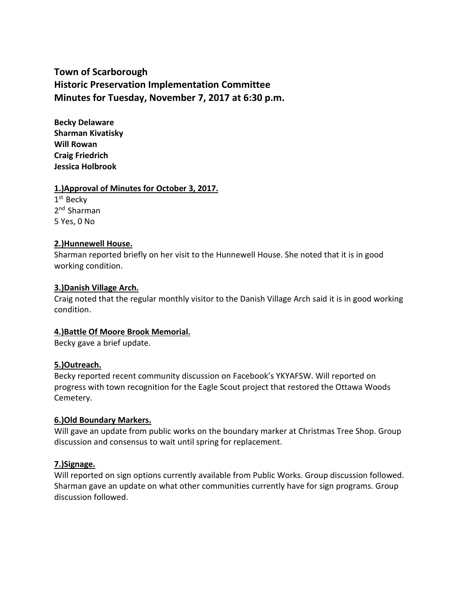# **Town of Scarborough Historic Preservation Implementation Committee Minutes for Tuesday, November 7, 2017 at 6:30 p.m.**

**Becky Delaware Sharman Kivatisky Will Rowan Craig Friedrich Jessica Holbrook**

#### **1.)Approval of Minutes for October 3, 2017.**

1<sup>st</sup> Becky 2<sup>nd</sup> Sharman 5 Yes, 0 No

## **2.)Hunnewell House.**

Sharman reported briefly on her visit to the Hunnewell House. She noted that it is in good working condition.

#### **3.)Danish Village Arch.**

Craig noted that the regular monthly visitor to the Danish Village Arch said it is in good working condition.

## **4.)Battle Of Moore Brook Memorial.**

Becky gave a brief update.

## **5.)Outreach.**

Becky reported recent community discussion on Facebook's YKYAFSW. Will reported on progress with town recognition for the Eagle Scout project that restored the Ottawa Woods Cemetery.

## **6.)Old Boundary Markers.**

Will gave an update from public works on the boundary marker at Christmas Tree Shop. Group discussion and consensus to wait until spring for replacement.

## **7.)Signage.**

Will reported on sign options currently available from Public Works. Group discussion followed. Sharman gave an update on what other communities currently have for sign programs. Group discussion followed.